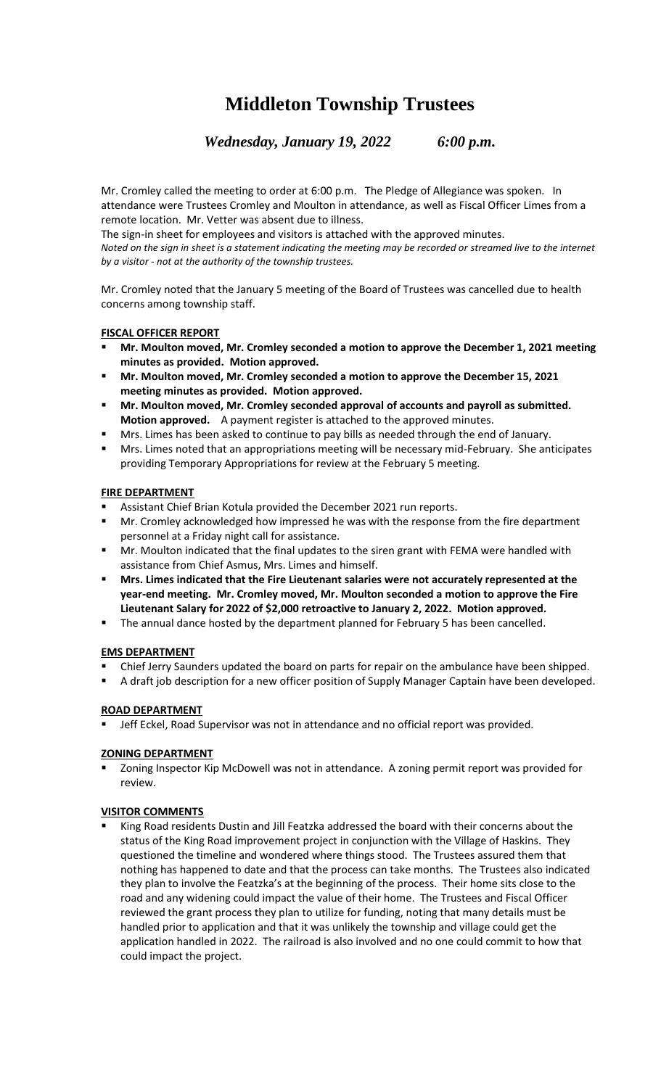# **Middleton Township Trustees**

*Wednesday, January 19, 2022 6:00 p.m.*

Mr. Cromley called the meeting to order at 6:00 p.m. The Pledge of Allegiance was spoken. In attendance were Trustees Cromley and Moulton in attendance, as well as Fiscal Officer Limes from a remote location. Mr. Vetter was absent due to illness.

The sign-in sheet for employees and visitors is attached with the approved minutes. *Noted on the sign in sheet is a statement indicating the meeting may be recorded or streamed live to the internet by a visitor - not at the authority of the township trustees.*

Mr. Cromley noted that the January 5 meeting of the Board of Trustees was cancelled due to health concerns among township staff.

## **FISCAL OFFICER REPORT**

- **Mr. Moulton moved, Mr. Cromley seconded a motion to approve the December 1, 2021 meeting minutes as provided. Motion approved.**
- **Mr. Moulton moved, Mr. Cromley seconded a motion to approve the December 15, 2021 meeting minutes as provided. Motion approved.**
- **Mr. Moulton moved, Mr. Cromley seconded approval of accounts and payroll as submitted. Motion approved.** A payment register is attached to the approved minutes.
- Mrs. Limes has been asked to continue to pay bills as needed through the end of January.
- Mrs. Limes noted that an appropriations meeting will be necessary mid-February. She anticipates providing Temporary Appropriations for review at the February 5 meeting.

## **FIRE DEPARTMENT**

- Assistant Chief Brian Kotula provided the December 2021 run reports.
- Mr. Cromley acknowledged how impressed he was with the response from the fire department personnel at a Friday night call for assistance.
- **■** Mr. Moulton indicated that the final updates to the siren grant with FEMA were handled with assistance from Chief Asmus, Mrs. Limes and himself.
- **Mrs. Limes indicated that the Fire Lieutenant salaries were not accurately represented at the year-end meeting. Mr. Cromley moved, Mr. Moulton seconded a motion to approve the Fire Lieutenant Salary for 2022 of \$2,000 retroactive to January 2, 2022. Motion approved.**
- The annual dance hosted by the department planned for February 5 has been cancelled.

## **EMS DEPARTMENT**

- Chief Jerry Saunders updated the board on parts for repair on the ambulance have been shipped.
- A draft job description for a new officer position of Supply Manager Captain have been developed.

### **ROAD DEPARTMENT**

Jeff Eckel, Road Supervisor was not in attendance and no official report was provided.

### **ZONING DEPARTMENT**

Zoning Inspector Kip McDowell was not in attendance. A zoning permit report was provided for review.

### **VISITOR COMMENTS**

King Road residents Dustin and Jill Featzka addressed the board with their concerns about the status of the King Road improvement project in conjunction with the Village of Haskins. They questioned the timeline and wondered where things stood. The Trustees assured them that nothing has happened to date and that the process can take months. The Trustees also indicated they plan to involve the Featzka's at the beginning of the process. Their home sits close to the road and any widening could impact the value of their home. The Trustees and Fiscal Officer reviewed the grant process they plan to utilize for funding, noting that many details must be handled prior to application and that it was unlikely the township and village could get the application handled in 2022. The railroad is also involved and no one could commit to how that could impact the project.